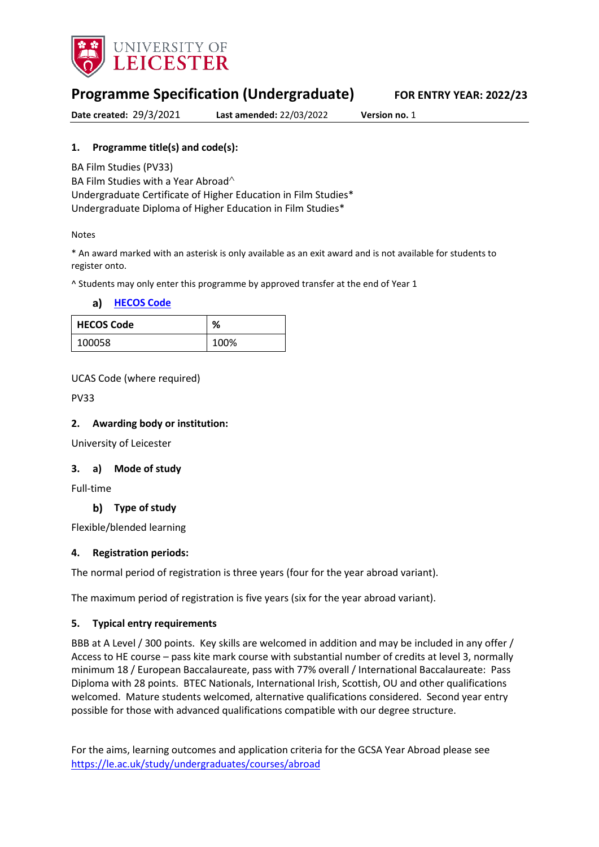

# **Programme Specification (Undergraduate) FOR ENTRY YEAR: 2022/23**

**Date created:** 29/3/2021 **Last amended:** 22/03/2022 **Version no.** 1

### **1. Programme title(s) and code(s):**

BA Film Studies (PV33)

BA Film Studies with a Year Abroad<sup> $\wedge$ </sup>

Undergraduate Certificate of Higher Education in Film Studies\* Undergraduate Diploma of Higher Education in Film Studies\*

#### Notes

\* An award marked with an asterisk is only available as an exit award and is not available for students to register onto.

^ Students may only enter this programme by approved transfer at the end of Year 1

| a) | <b>HECOS Code</b> |  |
|----|-------------------|--|
|    |                   |  |

| <b>HECOS Code</b> | %    |
|-------------------|------|
| 100058            | 100% |

#### UCAS Code (where required)

PV33

#### **2. Awarding body or institution:**

University of Leicester

#### **3. a) Mode of study**

Full-time

#### **Type of study**

Flexible/blended learning

#### **4. Registration periods:**

The normal period of registration is three years (four for the year abroad variant).

The maximum period of registration is five years (six for the year abroad variant).

#### **5. Typical entry requirements**

BBB at A Level / 300 points. Key skills are welcomed in addition and may be included in any offer / Access to HE course – pass kite mark course with substantial number of credits at level 3, normally minimum 18 / European Baccalaureate, pass with 77% overall / International Baccalaureate: Pass Diploma with 28 points. BTEC Nationals, International Irish, Scottish, OU and other qualifications welcomed. Mature students welcomed, alternative qualifications considered. Second year entry possible for those with advanced qualifications compatible with our degree structure.

For the aims, learning outcomes and application criteria for the GCSA Year Abroad please see <https://le.ac.uk/study/undergraduates/courses/abroad>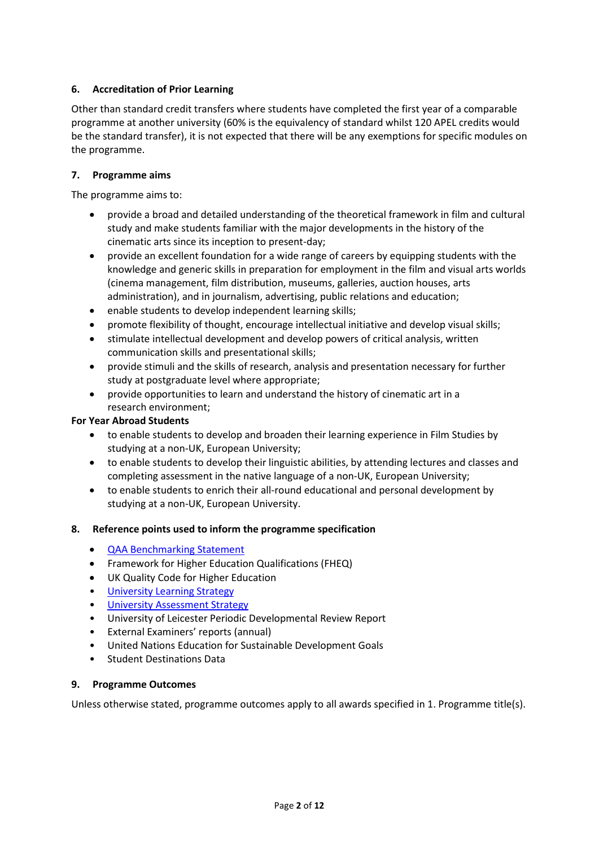## **6. Accreditation of Prior Learning**

Other than standard credit transfers where students have completed the first year of a comparable programme at another university (60% is the equivalency of standard whilst 120 APEL credits would be the standard transfer), it is not expected that there will be any exemptions for specific modules on the programme.

#### **7. Programme aims**

The programme aims to:

- provide a broad and detailed understanding of the theoretical framework in film and cultural study and make students familiar with the major developments in the history of the cinematic arts since its inception to present-day;
- provide an excellent foundation for a wide range of careers by equipping students with the knowledge and generic skills in preparation for employment in the film and visual arts worlds (cinema management, film distribution, museums, galleries, auction houses, arts administration), and in journalism, advertising, public relations and education;
- enable students to develop independent learning skills;
- promote flexibility of thought, encourage intellectual initiative and develop visual skills;
- stimulate intellectual development and develop powers of critical analysis, written communication skills and presentational skills;
- provide stimuli and the skills of research, analysis and presentation necessary for further study at postgraduate level where appropriate;
- provide opportunities to learn and understand the history of cinematic art in a research environment;

#### **For Year Abroad Students**

- to enable students to develop and broaden their learning experience in Film Studies by studying at a non-UK, European University;
- to enable students to develop their linguistic abilities, by attending lectures and classes and completing assessment in the native language of a non-UK, European University;
- to enable students to enrich their all-round educational and personal development by studying at a non-UK, European University.

### **8. Reference points used to inform the programme specification**

- [QAA Benchmarking Statement](http://www.qaa.ac.uk/en/Publications/Documents/SBS-Communication-Media-Film-and-Cultural-Studies-16.pdf)
- Framework for Higher Education Qualifications (FHEQ)
- UK Quality Code for Higher Education
- University Learnin[g Strategy](https://www2.le.ac.uk/offices/sas2/quality/learnteach)
- [University Assessment Strategy](https://www2.le.ac.uk/offices/sas2/quality/learnteach)
- University of Leicester Periodic Developmental Review Report
- External Examiners' reports (annual)
- United Nations Education for Sustainable Development Goals
- Student Destinations Data

### **9. Programme Outcomes**

Unless otherwise stated, programme outcomes apply to all awards specified in 1. Programme title(s).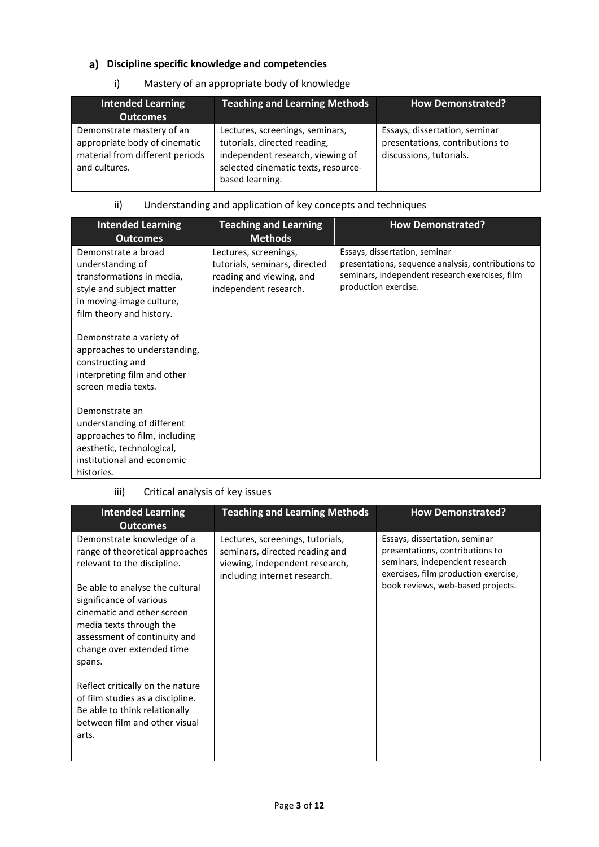# **Discipline specific knowledge and competencies**

## i) Mastery of an appropriate body of knowledge

| <b>Intended Learning</b><br><b>Outcomes</b>                                                                    | <b>Teaching and Learning Methods</b>                                                                                                                          | <b>How Demonstrated?</b>                                                                    |
|----------------------------------------------------------------------------------------------------------------|---------------------------------------------------------------------------------------------------------------------------------------------------------------|---------------------------------------------------------------------------------------------|
| Demonstrate mastery of an<br>appropriate body of cinematic<br>material from different periods<br>and cultures. | Lectures, screenings, seminars,<br>tutorials, directed reading,<br>independent research, viewing of<br>selected cinematic texts, resource-<br>based learning. | Essays, dissertation, seminar<br>presentations, contributions to<br>discussions, tutorials. |

# ii) Understanding and application of key concepts and techniques

| <b>Intended Learning</b><br><b>Outcomes</b>                                                                                                                                                                                              | <b>Teaching and Learning</b><br><b>Methods</b>                                                              | <b>How Demonstrated?</b>                                                                                                                                      |
|------------------------------------------------------------------------------------------------------------------------------------------------------------------------------------------------------------------------------------------|-------------------------------------------------------------------------------------------------------------|---------------------------------------------------------------------------------------------------------------------------------------------------------------|
| Demonstrate a broad<br>understanding of<br>transformations in media,<br>style and subject matter<br>in moving-image culture,<br>film theory and history.<br>Demonstrate a variety of<br>approaches to understanding,<br>constructing and | Lectures, screenings,<br>tutorials, seminars, directed<br>reading and viewing, and<br>independent research. | Essays, dissertation, seminar<br>presentations, sequence analysis, contributions to<br>seminars, independent research exercises, film<br>production exercise. |
| interpreting film and other<br>screen media texts.<br>Demonstrate an                                                                                                                                                                     |                                                                                                             |                                                                                                                                                               |
| understanding of different<br>approaches to film, including<br>aesthetic, technological,<br>institutional and economic<br>histories.                                                                                                     |                                                                                                             |                                                                                                                                                               |

#### iii) Critical analysis of key issues

| <b>Intended Learning</b><br><b>Outcomes</b>                                                                                                                                                | <b>Teaching and Learning Methods</b>                                                                                                 | <b>How Demonstrated?</b>                                                                                                                   |
|--------------------------------------------------------------------------------------------------------------------------------------------------------------------------------------------|--------------------------------------------------------------------------------------------------------------------------------------|--------------------------------------------------------------------------------------------------------------------------------------------|
| Demonstrate knowledge of a<br>range of theoretical approaches<br>relevant to the discipline.                                                                                               | Lectures, screenings, tutorials,<br>seminars, directed reading and<br>viewing, independent research,<br>including internet research. | Essays, dissertation, seminar<br>presentations, contributions to<br>seminars, independent research<br>exercises, film production exercise, |
| Be able to analyse the cultural<br>significance of various<br>cinematic and other screen<br>media texts through the<br>assessment of continuity and<br>change over extended time<br>spans. |                                                                                                                                      | book reviews, web-based projects.                                                                                                          |
| Reflect critically on the nature<br>of film studies as a discipline.<br>Be able to think relationally<br>between film and other visual<br>arts.                                            |                                                                                                                                      |                                                                                                                                            |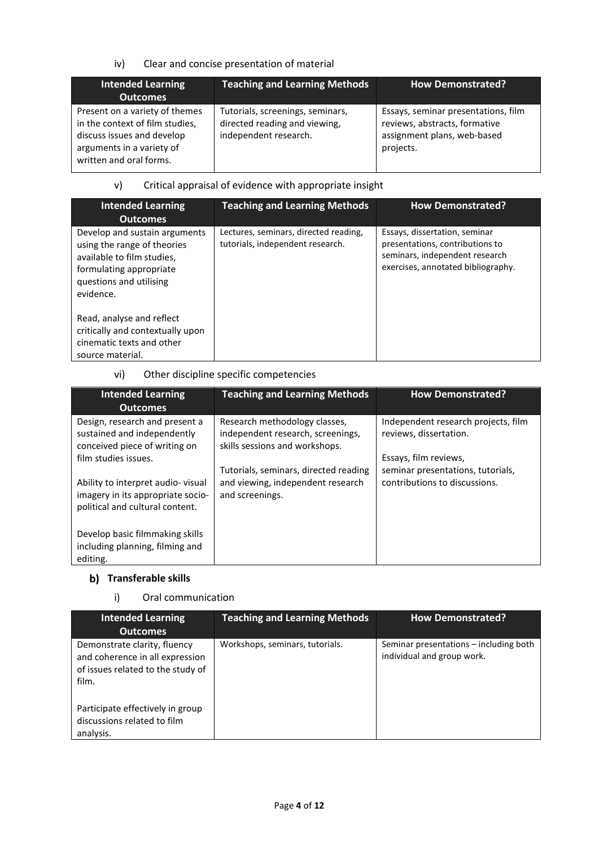## iv) Clear and concise presentation of material

| <b>Intended Learning</b><br><b>Outcomes</b>                                                                                                             | <b>Teaching and Learning Methods</b>                                                       | <b>How Demonstrated?</b>                                                                                         |
|---------------------------------------------------------------------------------------------------------------------------------------------------------|--------------------------------------------------------------------------------------------|------------------------------------------------------------------------------------------------------------------|
| Present on a variety of themes<br>in the context of film studies,<br>discuss issues and develop<br>arguments in a variety of<br>written and oral forms. | Tutorials, screenings, seminars,<br>directed reading and viewing,<br>independent research. | Essays, seminar presentations, film<br>reviews, abstracts, formative<br>assignment plans, web-based<br>projects. |

# v) Critical appraisal of evidence with appropriate insight

| <b>Intended Learning</b><br><b>Outcomes</b>                                                                                                                   | <b>Teaching and Learning Methods</b>                                      | <b>How Demonstrated?</b>                                                                                                                 |
|---------------------------------------------------------------------------------------------------------------------------------------------------------------|---------------------------------------------------------------------------|------------------------------------------------------------------------------------------------------------------------------------------|
| Develop and sustain arguments<br>using the range of theories<br>available to film studies.<br>formulating appropriate<br>questions and utilising<br>evidence. | Lectures, seminars, directed reading,<br>tutorials, independent research. | Essays, dissertation, seminar<br>presentations, contributions to<br>seminars, independent research<br>exercises, annotated bibliography. |
| Read, analyse and reflect<br>critically and contextually upon<br>cinematic texts and other<br>source material.                                                |                                                                           |                                                                                                                                          |

# vi) Other discipline specific competencies

| <b>Intended Learning</b><br><b>Outcomes</b>                                                               | <b>Teaching and Learning Methods</b>                                                                 | <b>How Demonstrated?</b>                                      |
|-----------------------------------------------------------------------------------------------------------|------------------------------------------------------------------------------------------------------|---------------------------------------------------------------|
| Design, research and present a<br>sustained and independently<br>conceived piece of writing on            | Research methodology classes,<br>independent research, screenings,<br>skills sessions and workshops. | Independent research projects, film<br>reviews, dissertation. |
| film studies issues.                                                                                      | Tutorials, seminars, directed reading                                                                | Essays, film reviews,<br>seminar presentations, tutorials,    |
| Ability to interpret audio-visual<br>imagery in its appropriate socio-<br>political and cultural content. | and viewing, independent research<br>and screenings.                                                 | contributions to discussions.                                 |
| Develop basic filmmaking skills<br>including planning, filming and<br>editing.                            |                                                                                                      |                                                               |

## **Transferable skills**

i) Oral communication

| <b>Intended Learning</b><br><b>Outcomes</b>                                                                   | <b>Teaching and Learning Methods</b> | <b>How Demonstrated?</b>                                             |
|---------------------------------------------------------------------------------------------------------------|--------------------------------------|----------------------------------------------------------------------|
| Demonstrate clarity, fluency<br>and coherence in all expression<br>of issues related to the study of<br>film. | Workshops, seminars, tutorials.      | Seminar presentations – including both<br>individual and group work. |
| Participate effectively in group<br>discussions related to film<br>analysis.                                  |                                      |                                                                      |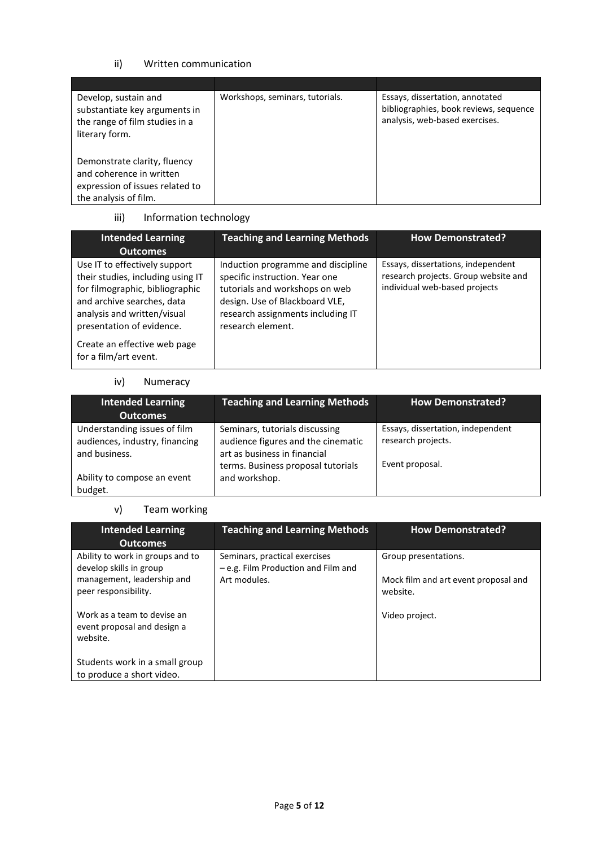## ii) Written communication

| Develop, sustain and<br>substantiate key arguments in<br>the range of film studies in a | Workshops, seminars, tutorials. | Essays, dissertation, annotated<br>bibliographies, book reviews, sequence<br>analysis, web-based exercises. |
|-----------------------------------------------------------------------------------------|---------------------------------|-------------------------------------------------------------------------------------------------------------|
| literary form.<br>Demonstrate clarity, fluency                                          |                                 |                                                                                                             |
| and coherence in written<br>expression of issues related to                             |                                 |                                                                                                             |
| the analysis of film.                                                                   |                                 |                                                                                                             |

# iii) Information technology

| <b>Intended Learning</b><br><b>Outcomes</b>                                                                                                                                                     | <b>Teaching and Learning Methods</b>                                                                                                                                                               | <b>How Demonstrated?</b>                                                                                    |
|-------------------------------------------------------------------------------------------------------------------------------------------------------------------------------------------------|----------------------------------------------------------------------------------------------------------------------------------------------------------------------------------------------------|-------------------------------------------------------------------------------------------------------------|
| Use IT to effectively support<br>their studies, including using IT<br>for filmographic, bibliographic<br>and archive searches, data<br>analysis and written/visual<br>presentation of evidence. | Induction programme and discipline<br>specific instruction. Year one<br>tutorials and workshops on web<br>design. Use of Blackboard VLE,<br>research assignments including IT<br>research element. | Essays, dissertations, independent<br>research projects. Group website and<br>individual web-based projects |
| Create an effective web page<br>for a film/art event.                                                                                                                                           |                                                                                                                                                                                                    |                                                                                                             |

#### iv) Numeracy

| <b>Intended Learning</b><br><b>Outcomes</b>                                     | <b>Teaching and Learning Methods</b>                                                                                                       | <b>How Demonstrated?</b>                                                   |
|---------------------------------------------------------------------------------|--------------------------------------------------------------------------------------------------------------------------------------------|----------------------------------------------------------------------------|
| Understanding issues of film<br>audiences, industry, financing<br>and business. | Seminars, tutorials discussing<br>audience figures and the cinematic<br>art as business in financial<br>terms. Business proposal tutorials | Essays, dissertation, independent<br>research projects.<br>Event proposal. |
| Ability to compose an event<br>budget.                                          | and workshop.                                                                                                                              |                                                                            |

## v) Team working

| <b>Intended Learning</b><br><b>Outcomes</b>                                                                       | <b>Teaching and Learning Methods</b>                                                 | <b>How Demonstrated?</b>                                                 |
|-------------------------------------------------------------------------------------------------------------------|--------------------------------------------------------------------------------------|--------------------------------------------------------------------------|
| Ability to work in groups and to<br>develop skills in group<br>management, leadership and<br>peer responsibility. | Seminars, practical exercises<br>- e.g. Film Production and Film and<br>Art modules. | Group presentations.<br>Mock film and art event proposal and<br>website. |
| Work as a team to devise an<br>event proposal and design a<br>website.                                            |                                                                                      | Video project.                                                           |
| Students work in a small group<br>to produce a short video.                                                       |                                                                                      |                                                                          |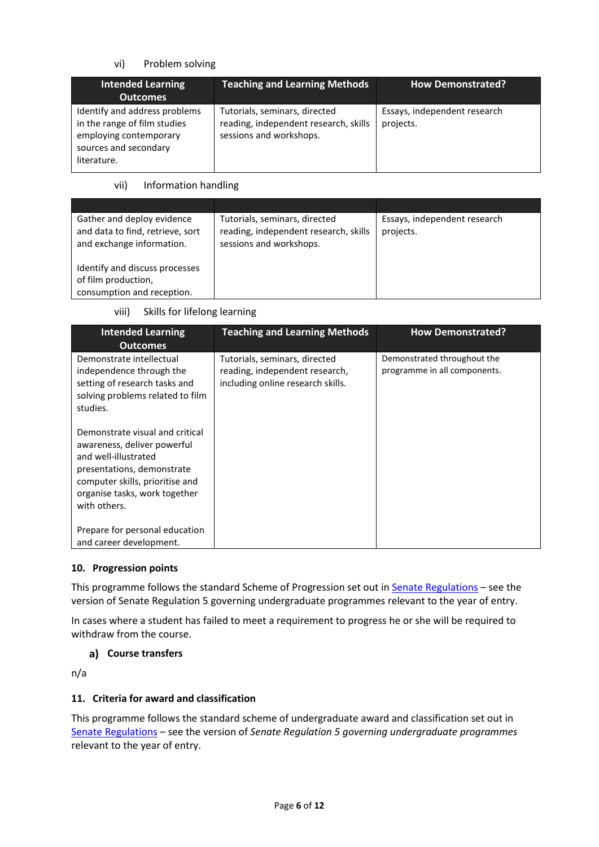## vi) Problem solving

| <b>Intended Learning</b><br><b>Outcomes</b>                                                                                     | <b>Teaching and Learning Methods</b>                                                              | <b>How Demonstrated?</b>                  |
|---------------------------------------------------------------------------------------------------------------------------------|---------------------------------------------------------------------------------------------------|-------------------------------------------|
| Identify and address problems<br>in the range of film studies<br>employing contemporary<br>sources and secondary<br>literature. | Tutorials, seminars, directed<br>reading, independent research, skills<br>sessions and workshops. | Essays, independent research<br>projects. |

vii) Information handling

| Gather and deploy evidence<br>and data to find, retrieve, sort<br>and exchange information. | Tutorials, seminars, directed<br>reading, independent research, skills<br>sessions and workshops. | Essays, independent research<br>projects. |
|---------------------------------------------------------------------------------------------|---------------------------------------------------------------------------------------------------|-------------------------------------------|
| Identify and discuss processes<br>of film production,<br>consumption and reception.         |                                                                                                   |                                           |

viii) Skills for lifelong learning

| <b>Intended Learning</b><br><b>Outcomes</b>                                                                                                                                                              | <b>Teaching and Learning Methods</b>                                                                 | <b>How Demonstrated?</b>                                    |
|----------------------------------------------------------------------------------------------------------------------------------------------------------------------------------------------------------|------------------------------------------------------------------------------------------------------|-------------------------------------------------------------|
| Demonstrate intellectual<br>independence through the<br>setting of research tasks and<br>solving problems related to film<br>studies.                                                                    | Tutorials, seminars, directed<br>reading, independent research,<br>including online research skills. | Demonstrated throughout the<br>programme in all components. |
| Demonstrate visual and critical<br>awareness, deliver powerful<br>and well-illustrated<br>presentations, demonstrate<br>computer skills, prioritise and<br>organise tasks, work together<br>with others. |                                                                                                      |                                                             |
| Prepare for personal education<br>and career development.                                                                                                                                                |                                                                                                      |                                                             |

### **10. Progression points**

This programme follows the standard Scheme of Progression set out in **Senate Regulations** - see the version of Senate Regulation 5 governing undergraduate programmes relevant to the year of entry.

In cases where a student has failed to meet a requirement to progress he or she will be required to withdraw from the course.

## **Course transfers**

n/a

### **11. Criteria for award and classification**

This programme follows the standard scheme of undergraduate award and classification set out in [Senate Regulations](http://www.le.ac.uk/senate-regulations) – see the version of *Senate Regulation 5 governing undergraduate programmes* relevant to the year of entry.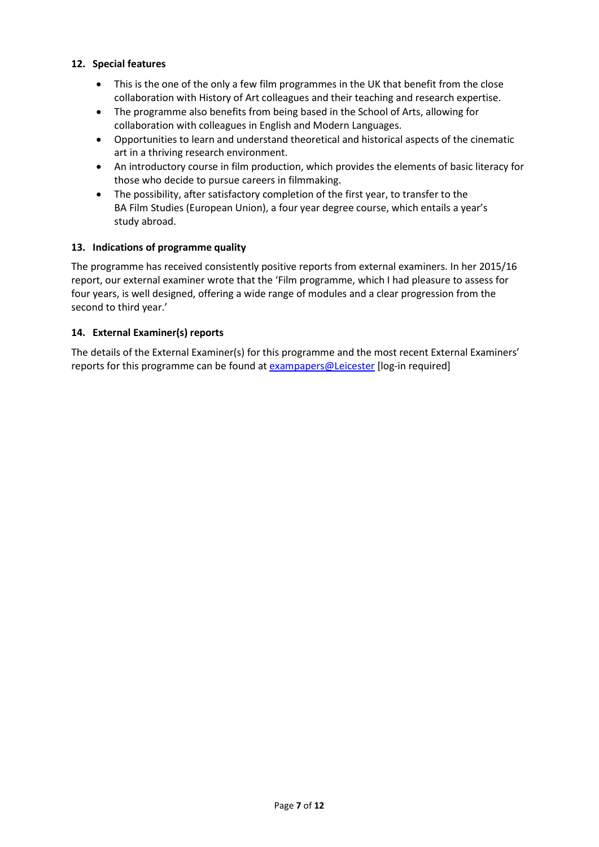#### **12. Special features**

- This is the one of the only a few film programmes in the UK that benefit from the close collaboration with History of Art colleagues and their teaching and research expertise.
- The programme also benefits from being based in the School of Arts, allowing for collaboration with colleagues in English and Modern Languages.
- Opportunities to learn and understand theoretical and historical aspects of the cinematic art in a thriving research environment.
- An introductory course in film production, which provides the elements of basic literacy for those who decide to pursue careers in filmmaking.
- The possibility, after satisfactory completion of the first year, to transfer to the BA Film Studies (European Union), a four year degree course, which entails a year's study abroad.

#### **13. Indications of programme quality**

The programme has received consistently positive reports from external examiners. In her 2015/16 report, our external examiner wrote that the 'Film programme, which I had pleasure to assess for four years, is well designed, offering a wide range of modules and a clear progression from the second to third year.'

#### **14. External Examiner(s) reports**

The details of the External Examiner(s) for this programme and the most recent External Examiners' reports for this programme can be found at [exampapers@Leicester](https://exampapers.le.ac.uk/) [log-in required]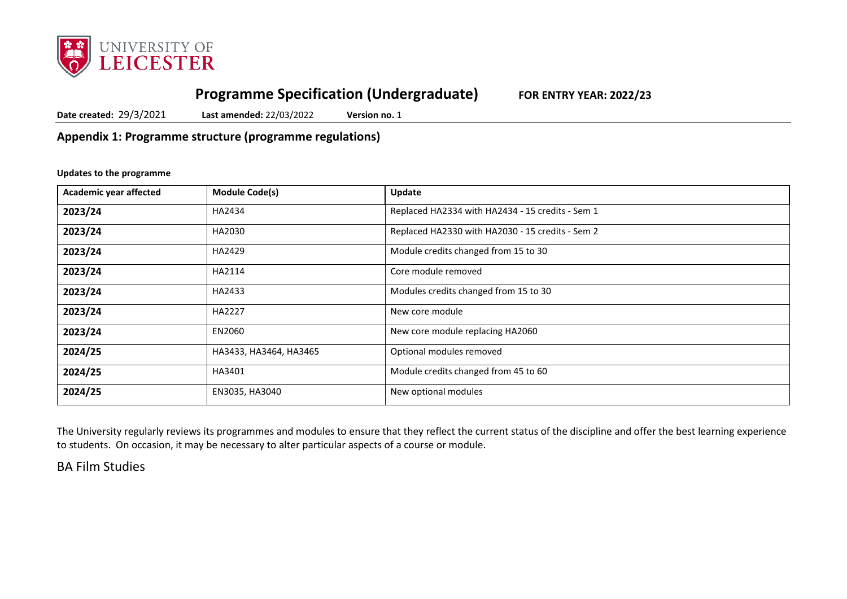

# **Programme Specification (Undergraduate) FOR ENTRY YEAR: 2022/23**

**Date created:** 29/3/2021 **Last amended:** 22/03/2022 **Version no.** 1

**Appendix 1: Programme structure (programme regulations)**

#### **Updates to the programme**

| Academic year affected | <b>Module Code(s)</b>  | Update                                           |
|------------------------|------------------------|--------------------------------------------------|
| 2023/24                | HA2434                 | Replaced HA2334 with HA2434 - 15 credits - Sem 1 |
| 2023/24                | HA2030                 | Replaced HA2330 with HA2030 - 15 credits - Sem 2 |
| 2023/24                | HA2429                 | Module credits changed from 15 to 30             |
| 2023/24                | HA2114                 | Core module removed                              |
| 2023/24                | HA2433                 | Modules credits changed from 15 to 30            |
| 2023/24                | HA2227                 | New core module                                  |
| 2023/24                | EN2060                 | New core module replacing HA2060                 |
| 2024/25                | HA3433, HA3464, HA3465 | Optional modules removed                         |
| 2024/25                | HA3401                 | Module credits changed from 45 to 60             |
| 2024/25                | EN3035, HA3040         | New optional modules                             |

The University regularly reviews its programmes and modules to ensure that they reflect the current status of the discipline and offer the best learning experience to students. On occasion, it may be necessary to alter particular aspects of a course or module.

BA Film Studies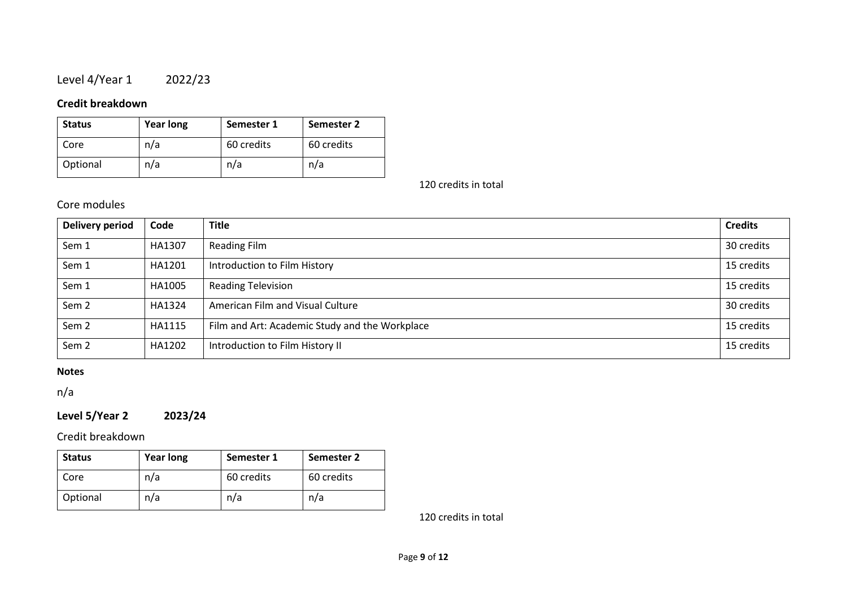# Level 4/Year 1 2022/23

# **Credit breakdown**

| <b>Status</b> | <b>Year long</b> | Semester 1 | Semester 2 |
|---------------|------------------|------------|------------|
| Core          | n/a              | 60 credits | 60 credits |
| Optional      | n/a              | n/a        | n/a        |

120 credits in total

# Core modules

| Delivery period  | Code   | <b>Title</b>                                   | <b>Credits</b> |
|------------------|--------|------------------------------------------------|----------------|
| Sem 1            | HA1307 | <b>Reading Film</b>                            | 30 credits     |
| Sem 1            | HA1201 | Introduction to Film History                   | 15 credits     |
| Sem 1            | HA1005 | <b>Reading Television</b>                      | 15 credits     |
| Sem <sub>2</sub> | HA1324 | American Film and Visual Culture               | 30 credits     |
| Sem <sub>2</sub> | HA1115 | Film and Art: Academic Study and the Workplace | 15 credits     |
| Sem <sub>2</sub> | HA1202 | Introduction to Film History II                | 15 credits     |

## **Notes**

n/a

# **Level 5/Year 2 2023/24**

Credit breakdown

| <b>Status</b> | <b>Year long</b> | Semester 1 | Semester 2 |
|---------------|------------------|------------|------------|
| Core          | n/a              | 60 credits | 60 credits |
| Optional      | n/a              | n/a        | n/a        |

120 credits in total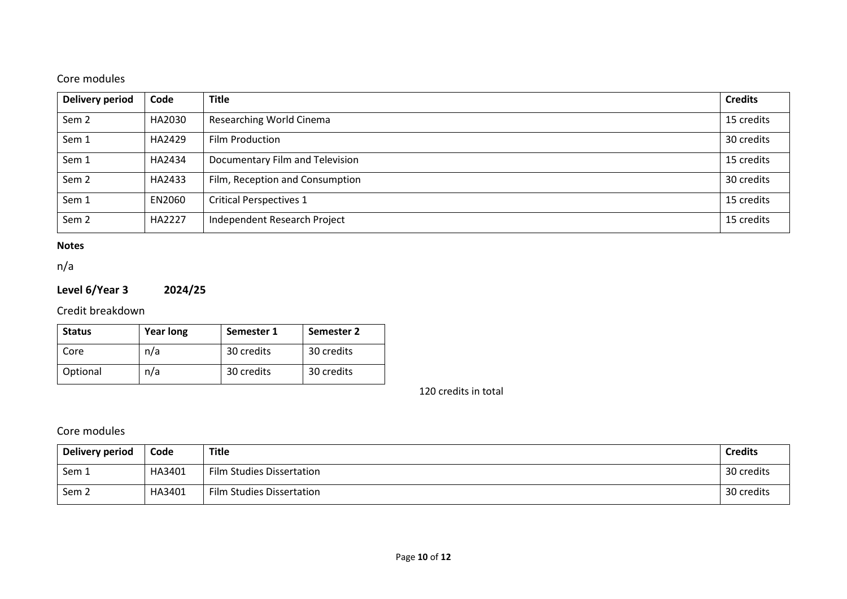# Core modules

| <b>Delivery period</b> | Code   | <b>Title</b>                    | <b>Credits</b> |
|------------------------|--------|---------------------------------|----------------|
| Sem <sub>2</sub>       | HA2030 | Researching World Cinema        | 15 credits     |
| Sem 1                  | HA2429 | Film Production                 | 30 credits     |
| Sem 1                  | HA2434 | Documentary Film and Television | 15 credits     |
| Sem <sub>2</sub>       | HA2433 | Film, Reception and Consumption | 30 credits     |
| Sem 1                  | EN2060 | <b>Critical Perspectives 1</b>  | 15 credits     |
| Sem <sub>2</sub>       | HA2227 | Independent Research Project    | 15 credits     |

#### **Notes**

n/a

# **Level 6/Year 3 2024/25**

Credit breakdown

| <b>Status</b> | <b>Year long</b> | Semester 1 | Semester 2 |
|---------------|------------------|------------|------------|
| Core          | n/a              | 30 credits | 30 credits |
| Optional      | n/a              | 30 credits | 30 credits |

120 credits in total

# Core modules

| Delivery period  | Code   | <b>Title</b>              | <b>Credits</b> |
|------------------|--------|---------------------------|----------------|
| Sem 1            | HA3401 | Film Studies Dissertation | 30 credits     |
| Sem <sub>2</sub> | HA3401 | Film Studies Dissertation | 30 credits     |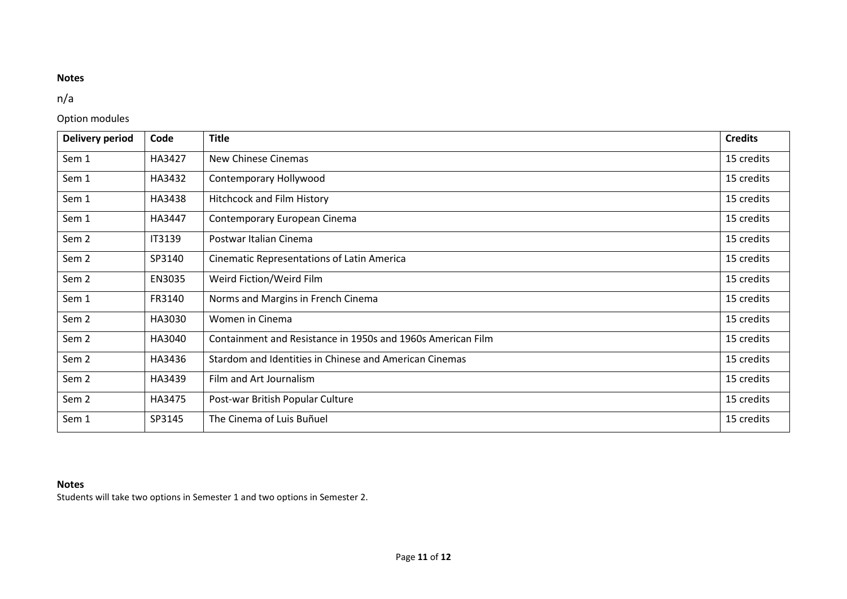# **Notes**

# n/a

## Option modules

| <b>Delivery period</b> | Code   | <b>Title</b>                                                | <b>Credits</b> |
|------------------------|--------|-------------------------------------------------------------|----------------|
| Sem 1                  | HA3427 | New Chinese Cinemas                                         | 15 credits     |
| Sem 1                  | HA3432 | Contemporary Hollywood                                      | 15 credits     |
| Sem 1                  | HA3438 | Hitchcock and Film History                                  | 15 credits     |
| Sem 1                  | HA3447 | Contemporary European Cinema                                | 15 credits     |
| Sem <sub>2</sub>       | IT3139 | Postwar Italian Cinema                                      | 15 credits     |
| Sem <sub>2</sub>       | SP3140 | Cinematic Representations of Latin America                  | 15 credits     |
| Sem <sub>2</sub>       | EN3035 | Weird Fiction/Weird Film                                    | 15 credits     |
| Sem 1                  | FR3140 | Norms and Margins in French Cinema                          | 15 credits     |
| Sem <sub>2</sub>       | HA3030 | Women in Cinema                                             | 15 credits     |
| Sem <sub>2</sub>       | HA3040 | Containment and Resistance in 1950s and 1960s American Film | 15 credits     |
| Sem <sub>2</sub>       | HA3436 | Stardom and Identities in Chinese and American Cinemas      | 15 credits     |
| Sem <sub>2</sub>       | HA3439 | Film and Art Journalism                                     | 15 credits     |
| Sem <sub>2</sub>       | HA3475 | Post-war British Popular Culture                            | 15 credits     |
| Sem 1                  | SP3145 | The Cinema of Luis Buñuel                                   | 15 credits     |

## **Notes**

Students will take two options in Semester 1 and two options in Semester 2.